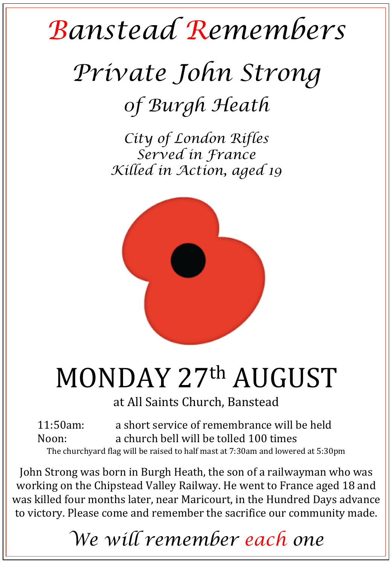## *Banstead Remembers*

# *Private John Strong 0f Burgh Heath*

*City of London Rifles Served in France Killed in Action, aged 19* 



# MONDAY 27th AUGUST

at All Saints Church, Banstead

11:50am: a short service of remembrance will be held Noon: a church bell will be tolled 100 times The churchyard flag will be raised to half mast at 7:30am and lowered at 5:30pm

John Strong was born in Burgh Heath, the son of a railwayman who was working on the Chipstead Valley Railway. He went to France aged 18 and was killed four months later, near Maricourt, in the Hundred Days advance to victory. Please come and remember the sacrifice our community made.

### *We will remember each one*